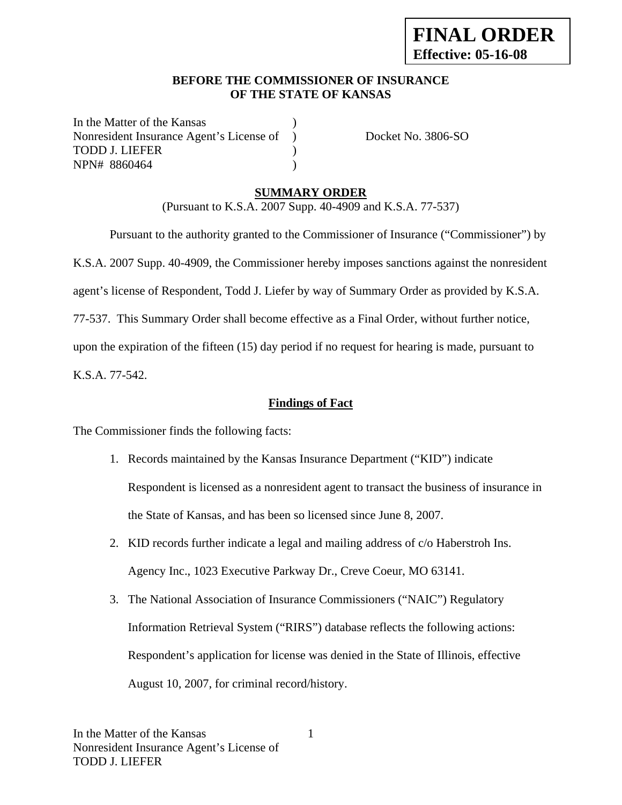### **BEFORE THE COMMISSIONER OF INSURANCE OF THE STATE OF KANSAS**

In the Matter of the Kansas Nonresident Insurance Agent's License of ) Docket No. 3806-SO TODD J. LIEFER (1999) NPN# 8860464 )

## **SUMMARY ORDER**

(Pursuant to K.S.A. 2007 Supp. 40-4909 and K.S.A. 77-537)

 Pursuant to the authority granted to the Commissioner of Insurance ("Commissioner") by K.S.A. 2007 Supp. 40-4909, the Commissioner hereby imposes sanctions against the nonresident agent's license of Respondent, Todd J. Liefer by way of Summary Order as provided by K.S.A. 77-537. This Summary Order shall become effective as a Final Order, without further notice, upon the expiration of the fifteen (15) day period if no request for hearing is made, pursuant to

K.S.A. 77-542.

### **Findings of Fact**

The Commissioner finds the following facts:

- 1. Records maintained by the Kansas Insurance Department ("KID") indicate Respondent is licensed as a nonresident agent to transact the business of insurance in the State of Kansas, and has been so licensed since June 8, 2007.
- 2. KID records further indicate a legal and mailing address of c/o Haberstroh Ins. Agency Inc., 1023 Executive Parkway Dr., Creve Coeur, MO 63141.
- 3. The National Association of Insurance Commissioners ("NAIC") Regulatory Information Retrieval System ("RIRS") database reflects the following actions: Respondent's application for license was denied in the State of Illinois, effective August 10, 2007, for criminal record/history.

1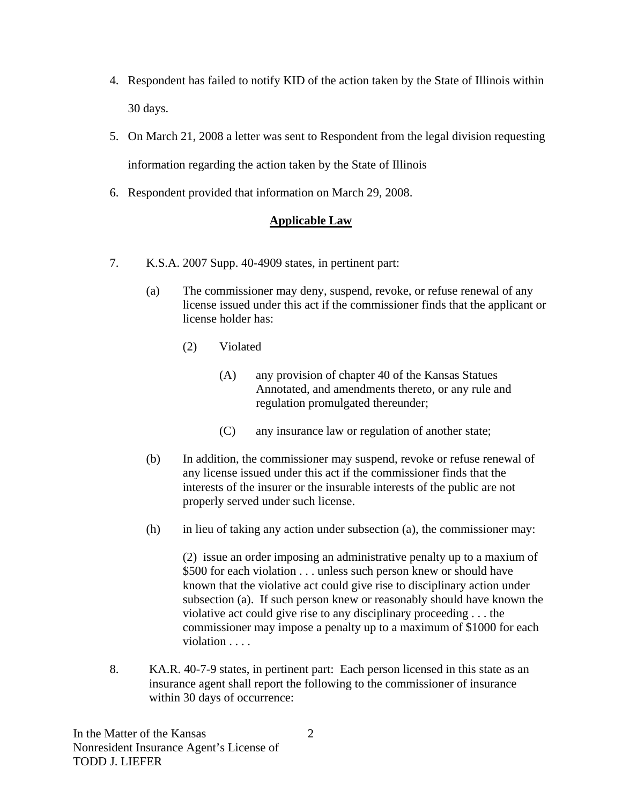- 4. Respondent has failed to notify KID of the action taken by the State of Illinois within 30 days.
- 5. On March 21, 2008 a letter was sent to Respondent from the legal division requesting information regarding the action taken by the State of Illinois
- 6. Respondent provided that information on March 29, 2008.

# **Applicable Law**

- 7. K.S.A. 2007 Supp. 40-4909 states, in pertinent part:
	- (a) The commissioner may deny, suspend, revoke, or refuse renewal of any license issued under this act if the commissioner finds that the applicant or license holder has:
		- (2) Violated
			- (A) any provision of chapter 40 of the Kansas Statues Annotated, and amendments thereto, or any rule and regulation promulgated thereunder;
			- (C) any insurance law or regulation of another state;
	- (b) In addition, the commissioner may suspend, revoke or refuse renewal of any license issued under this act if the commissioner finds that the interests of the insurer or the insurable interests of the public are not properly served under such license.
	- (h) in lieu of taking any action under subsection (a), the commissioner may:

(2) issue an order imposing an administrative penalty up to a maxium of \$500 for each violation . . . unless such person knew or should have known that the violative act could give rise to disciplinary action under subsection (a). If such person knew or reasonably should have known the violative act could give rise to any disciplinary proceeding . . . the commissioner may impose a penalty up to a maximum of \$1000 for each violation . . . .

8. KA.R. 40-7-9 states, in pertinent part: Each person licensed in this state as an insurance agent shall report the following to the commissioner of insurance within 30 days of occurrence: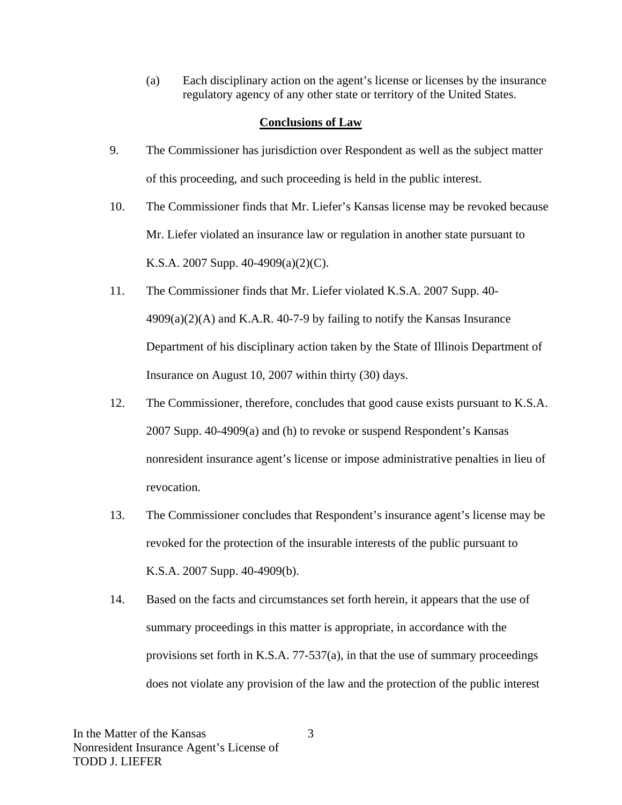(a) Each disciplinary action on the agent's license or licenses by the insurance regulatory agency of any other state or territory of the United States.

### **Conclusions of Law**

- 9. The Commissioner has jurisdiction over Respondent as well as the subject matter of this proceeding, and such proceeding is held in the public interest.
- 10. The Commissioner finds that Mr. Liefer's Kansas license may be revoked because Mr. Liefer violated an insurance law or regulation in another state pursuant to K.S.A. 2007 Supp. 40-4909(a)(2)(C).
- 11. The Commissioner finds that Mr. Liefer violated K.S.A. 2007 Supp. 40-  $4909(a)(2)(A)$  and K.A.R.  $40-7-9$  by failing to notify the Kansas Insurance Department of his disciplinary action taken by the State of Illinois Department of Insurance on August 10, 2007 within thirty (30) days.
- 12. The Commissioner, therefore, concludes that good cause exists pursuant to K.S.A. 2007 Supp. 40-4909(a) and (h) to revoke or suspend Respondent's Kansas nonresident insurance agent's license or impose administrative penalties in lieu of revocation.
- 13. The Commissioner concludes that Respondent's insurance agent's license may be revoked for the protection of the insurable interests of the public pursuant to K.S.A. 2007 Supp. 40-4909(b).
- 14. Based on the facts and circumstances set forth herein, it appears that the use of summary proceedings in this matter is appropriate, in accordance with the provisions set forth in K.S.A. 77-537(a), in that the use of summary proceedings does not violate any provision of the law and the protection of the public interest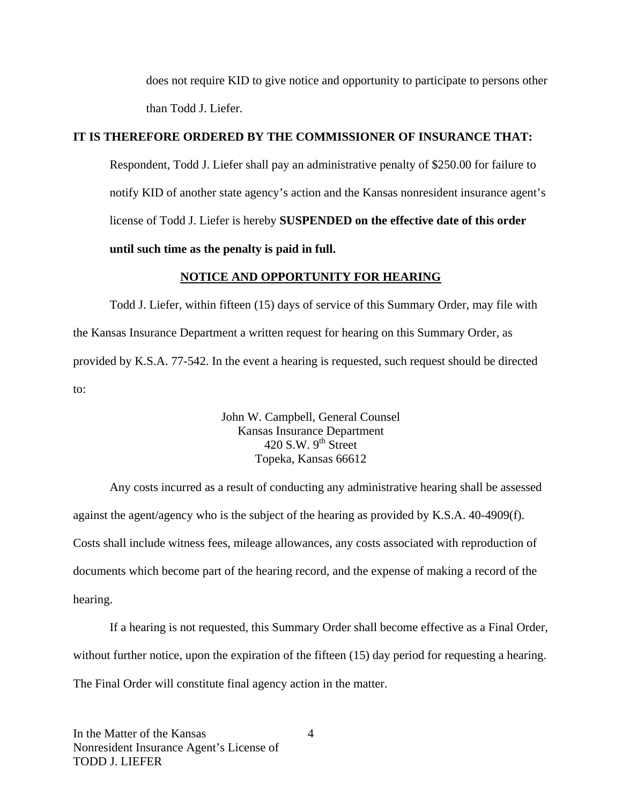does not require KID to give notice and opportunity to participate to persons other than Todd J. Liefer.

### **IT IS THEREFORE ORDERED BY THE COMMISSIONER OF INSURANCE THAT:**

Respondent, Todd J. Liefer shall pay an administrative penalty of \$250.00 for failure to notify KID of another state agency's action and the Kansas nonresident insurance agent's license of Todd J. Liefer is hereby **SUSPENDED on the effective date of this order until such time as the penalty is paid in full.** 

#### **NOTICE AND OPPORTUNITY FOR HEARING**

Todd J. Liefer, within fifteen (15) days of service of this Summary Order, may file with the Kansas Insurance Department a written request for hearing on this Summary Order, as provided by K.S.A. 77-542. In the event a hearing is requested, such request should be directed to:

> John W. Campbell, General Counsel Kansas Insurance Department 420 S.W.  $9<sup>th</sup>$  Street Topeka, Kansas 66612

Any costs incurred as a result of conducting any administrative hearing shall be assessed against the agent/agency who is the subject of the hearing as provided by K.S.A. 40-4909(f). Costs shall include witness fees, mileage allowances, any costs associated with reproduction of documents which become part of the hearing record, and the expense of making a record of the hearing.

If a hearing is not requested, this Summary Order shall become effective as a Final Order, without further notice, upon the expiration of the fifteen (15) day period for requesting a hearing. The Final Order will constitute final agency action in the matter.